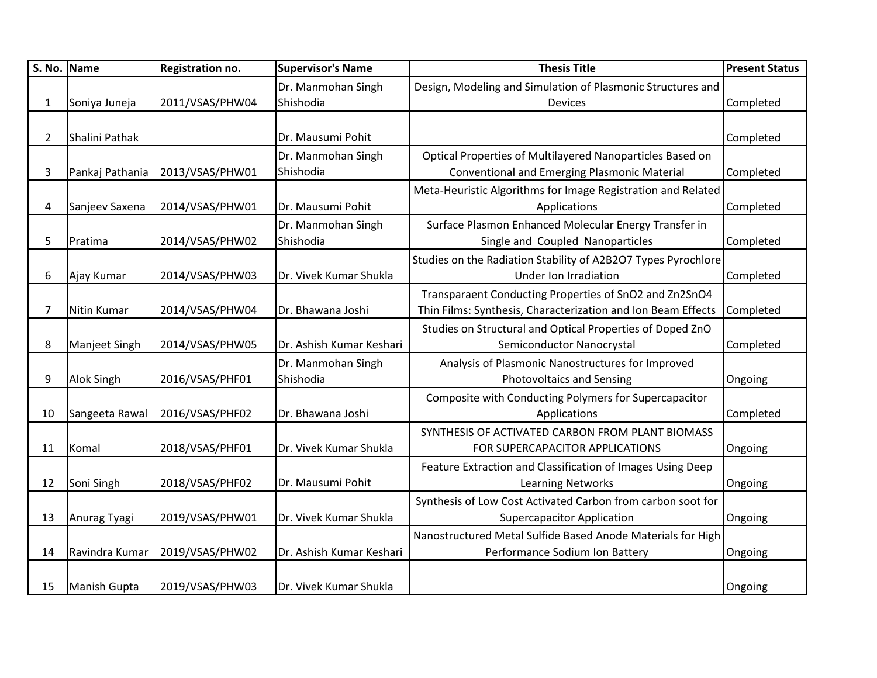|                | S. No. Name         | Registration no. | <b>Supervisor's Name</b>        | <b>Thesis Title</b>                                                                                                    | <b>Present Status</b> |
|----------------|---------------------|------------------|---------------------------------|------------------------------------------------------------------------------------------------------------------------|-----------------------|
|                |                     |                  | Dr. Manmohan Singh              | Design, Modeling and Simulation of Plasmonic Structures and                                                            |                       |
| 1              | Soniya Juneja       | 2011/VSAS/PHW04  | Shishodia                       | <b>Devices</b>                                                                                                         | Completed             |
| $\overline{2}$ | Shalini Pathak      |                  | Dr. Mausumi Pohit               |                                                                                                                        | Completed             |
| 3              | Pankaj Pathania     | 2013/VSAS/PHW01  | Dr. Manmohan Singh<br>Shishodia | Optical Properties of Multilayered Nanoparticles Based on<br>Conventional and Emerging Plasmonic Material              | Completed             |
| 4              | Sanjeev Saxena      | 2014/VSAS/PHW01  | Dr. Mausumi Pohit               | Meta-Heuristic Algorithms for Image Registration and Related<br>Applications                                           | Completed             |
| 5              | Pratima             | 2014/VSAS/PHW02  | Dr. Manmohan Singh<br>Shishodia | Surface Plasmon Enhanced Molecular Energy Transfer in<br>Single and Coupled Nanoparticles                              | Completed             |
| 6              | Ajay Kumar          | 2014/VSAS/PHW03  | Dr. Vivek Kumar Shukla          | Studies on the Radiation Stability of A2B2O7 Types Pyrochlore<br>Under Ion Irradiation                                 | Completed             |
| 7              | Nitin Kumar         | 2014/VSAS/PHW04  | Dr. Bhawana Joshi               | Transparaent Conducting Properties of SnO2 and Zn2SnO4<br>Thin Films: Synthesis, Characterization and Ion Beam Effects | Completed             |
| 8              | Manjeet Singh       | 2014/VSAS/PHW05  | Dr. Ashish Kumar Keshari        | Studies on Structural and Optical Properties of Doped ZnO<br>Semiconductor Nanocrystal                                 | Completed             |
| 9              | <b>Alok Singh</b>   | 2016/VSAS/PHF01  | Dr. Manmohan Singh<br>Shishodia | Analysis of Plasmonic Nanostructures for Improved<br><b>Photovoltaics and Sensing</b>                                  | Ongoing               |
| 10             | Sangeeta Rawal      | 2016/VSAS/PHF02  | Dr. Bhawana Joshi               | Composite with Conducting Polymers for Supercapacitor<br>Applications                                                  | Completed             |
| 11             | Komal               | 2018/VSAS/PHF01  | Dr. Vivek Kumar Shukla          | SYNTHESIS OF ACTIVATED CARBON FROM PLANT BIOMASS<br>FOR SUPERCAPACITOR APPLICATIONS                                    | Ongoing               |
| 12             | Soni Singh          | 2018/VSAS/PHF02  | Dr. Mausumi Pohit               | Feature Extraction and Classification of Images Using Deep<br><b>Learning Networks</b>                                 | Ongoing               |
| 13             | Anurag Tyagi        | 2019/VSAS/PHW01  | Dr. Vivek Kumar Shukla          | Synthesis of Low Cost Activated Carbon from carbon soot for<br><b>Supercapacitor Application</b>                       | Ongoing               |
| 14             | Ravindra Kumar      | 2019/VSAS/PHW02  | Dr. Ashish Kumar Keshari        | Nanostructured Metal Sulfide Based Anode Materials for High<br>Performance Sodium Ion Battery                          | Ongoing               |
| 15             | <b>Manish Gupta</b> | 2019/VSAS/PHW03  | Dr. Vivek Kumar Shukla          |                                                                                                                        | Ongoing               |